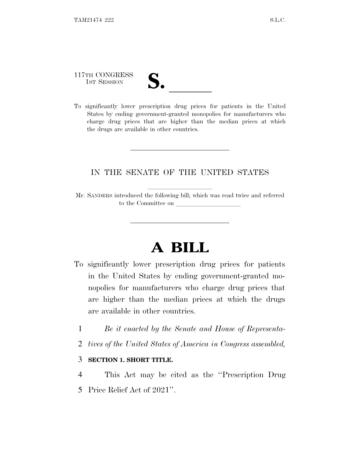117TH CONGRESS

| $\mathbf{v}$ |  |
|--------------|--|
|              |  |

117TH CONGRESS<br>
1ST SESSION<br>
To significantly lower prescription drug prices for patients in the United States by ending government-granted monopolies for manufacturers who charge drug prices that are higher than the median prices at which the drugs are available in other countries.

## IN THE SENATE OF THE UNITED STATES

Mr. SANDERS introduced the following bill; which was read twice and referred to the Committee on

# **A BILL**

- To significantly lower prescription drug prices for patients in the United States by ending government-granted monopolies for manufacturers who charge drug prices that are higher than the median prices at which the drugs are available in other countries.
	- 1 *Be it enacted by the Senate and House of Representa-*
	- 2 *tives of the United States of America in Congress assembled,*

#### 3 **SECTION 1. SHORT TITLE.**

4 This Act may be cited as the ''Prescription Drug 5 Price Relief Act of 2021''.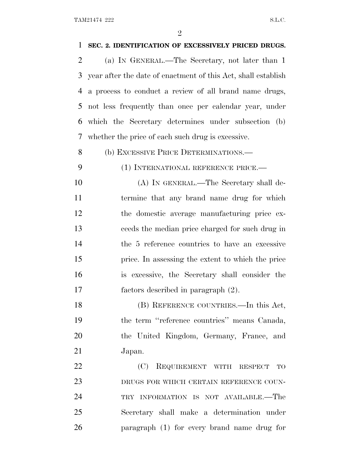| 1              | SEC. 2. IDENTIFICATION OF EXCESSIVELY PRICED DRUGS.           |
|----------------|---------------------------------------------------------------|
| $\overline{2}$ | (a) IN GENERAL.—The Secretary, not later than 1               |
| 3              | year after the date of enactment of this Act, shall establish |
| 4              | a process to conduct a review of all brand name drugs,        |
| 5              | not less frequently than once per calendar year, under        |
| 6              | which the Secretary determines under subsection (b)           |
| 7              | whether the price of each such drug is excessive.             |
| 8              | (b) EXCESSIVE PRICE DETERMINATIONS.—                          |
| 9              | (1) INTERNATIONAL REFERENCE PRICE.-                           |
| 10             | (A) IN GENERAL.—The Secretary shall de-                       |
| 11             | termine that any brand name drug for which                    |
| 12             | the domestic average manufacturing price ex-                  |
| 13             | ceeds the median price charged for such drug in               |
| 14             | the 5 reference countries to have an excessive                |
| 15             | price. In assessing the extent to which the price             |
| 16             | is excessive, the Secretary shall consider the                |
| 17             | factors described in paragraph (2).                           |
| 18             | (B) REFERENCE COUNTRIES.—In this Act,                         |
| 19             | the term "reference countries" means Canada,                  |
| 20             | the United Kingdom, Germany, France, and                      |
| 21             | Japan.                                                        |
| 22             | (C) REQUIREMENT WITH RESPECT<br><b>TO</b>                     |
| 23             | DRUGS FOR WHICH CERTAIN REFERENCE COUN-                       |
| 24             | TRY INFORMATION IS NOT AVAILABLE.—The                         |
| 25             | Secretary shall make a determination under                    |
| 26             | paragraph (1) for every brand name drug for                   |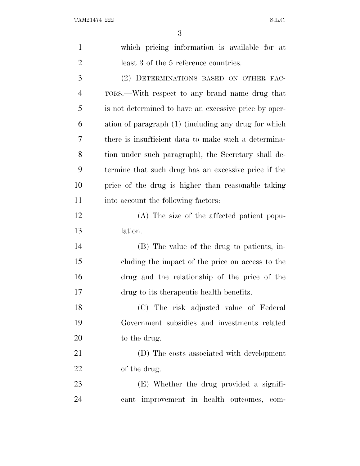| $\mathbf{1}$   | which pricing information is available for at         |
|----------------|-------------------------------------------------------|
| $\overline{2}$ | least 3 of the 5 reference countries.                 |
| 3              | (2) DETERMINATIONS BASED ON OTHER FAC-                |
| $\overline{4}$ | TORS.—With respect to any brand name drug that        |
| 5              | is not determined to have an excessive price by oper- |
| 6              | ation of paragraph (1) (including any drug for which  |
| 7              | there is insufficient data to make such a determina-  |
| 8              | tion under such paragraph), the Secretary shall de-   |
| 9              | termine that such drug has an excessive price if the  |
| 10             | price of the drug is higher than reasonable taking    |
| 11             | into account the following factors:                   |
| 12             | (A) The size of the affected patient popu-            |
| 13             | lation.                                               |
| 14             | (B) The value of the drug to patients, in-            |
| 15             | cluding the impact of the price on access to the      |
| 16             | drug and the relationship of the price of the         |
| 17             | drug to its therapeutic health benefits.              |
| 18             | (C) The risk adjusted value of Federal                |
| 19             | Government subsidies and investments related          |
| 20             | to the drug.                                          |
| 21             | (D) The costs associated with development             |
| 22             | of the drug.                                          |
| 23             | (E) Whether the drug provided a signifi-              |
| 24             | cant improvement in health outcomes,<br>com-          |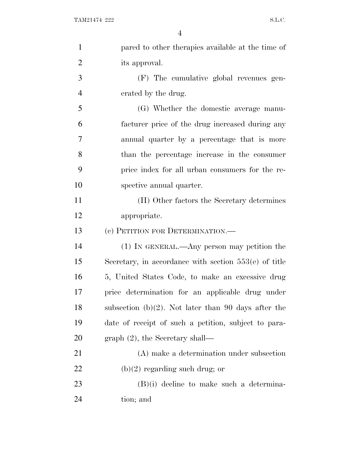| $\mathbf{1}$   | pared to other therapies available at the time of       |
|----------------|---------------------------------------------------------|
| $\overline{2}$ | its approval.                                           |
| 3              | (F) The cumulative global revenues gen-                 |
| $\overline{4}$ | erated by the drug.                                     |
| 5              | (G) Whether the domestic average manu-                  |
| 6              | facturer price of the drug increased during any         |
| 7              | annual quarter by a percentage that is more             |
| 8              | than the percentage increase in the consumer            |
| 9              | price index for all urban consumers for the re-         |
| 10             | spective annual quarter.                                |
| 11             | (H) Other factors the Secretary determines              |
| 12             | appropriate.                                            |
| 13             | (c) PETITION FOR DETERMINATION.—                        |
| 14             | (1) IN GENERAL.—Any person may petition the             |
| 15             | Secretary, in accordance with section $553(e)$ of title |
| 16             | 5, United States Code, to make an excessive drug        |
| 17             | price determination for an applicable drug under        |
| 18             | subsection (b) $(2)$ . Not later than 90 days after the |
| 19             | date of receipt of such a petition, subject to para-    |
| 20             | $graph (2)$ , the Secretary shall—                      |
| 21             | (A) make a determination under subsection               |
| 22             | $(b)(2)$ regarding such drug; or                        |
|                |                                                         |
| 23             | $(B)(i)$ decline to make such a determina-              |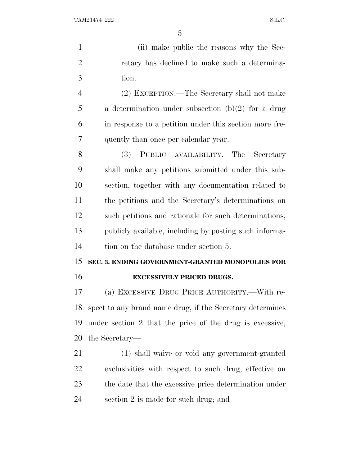(ii) make public the reasons why the Sec- retary has declined to make such a determina- tion. (2) EXCEPTION.—The Secretary shall not make a determination under subsection (b)(2) for a drug in response to a petition under this section more fre- quently than once per calendar year. (3) PUBLIC AVAILABILITY.—The Secretary shall make any petitions submitted under this sub- section, together with any documentation related to the petitions and the Secretary's determinations on such petitions and rationale for such determinations, publicly available, including by posting such informa- tion on the database under section 5. **SEC. 3. ENDING GOVERNMENT-GRANTED MONOPOLIES FOR EXCESSIVELY PRICED DRUGS.** (a) EXCESSIVE DRUG PRICE AUTHORITY.—With re- spect to any brand name drug, if the Secretary determines under section 2 that the price of the drug is excessive, the Secretary— (1) shall waive or void any government-granted exclusivities with respect to such drug, effective on the date that the excessive price determination under section 2 is made for such drug; and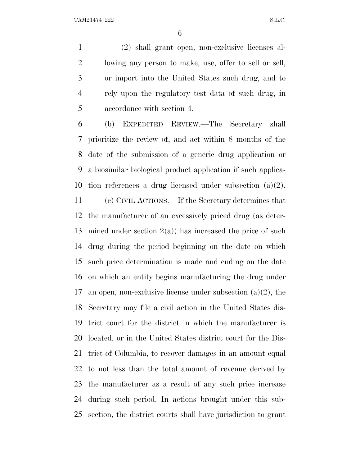(2) shall grant open, non-exclusive licenses al- lowing any person to make, use, offer to sell or sell, or import into the United States such drug, and to rely upon the regulatory test data of such drug, in accordance with section 4.

 (b) EXPEDITED REVIEW.—The Secretary shall prioritize the review of, and act within 8 months of the date of the submission of a generic drug application or a biosimilar biological product application if such applica-tion references a drug licensed under subsection (a)(2).

 (c) CIVIL ACTIONS.—If the Secretary determines that the manufacturer of an excessively priced drug (as deter-13 mined under section  $2(a)$  has increased the price of such drug during the period beginning on the date on which such price determination is made and ending on the date on which an entity begins manufacturing the drug under 17 an open, non-exclusive license under subsection  $(a)(2)$ , the Secretary may file a civil action in the United States dis- trict court for the district in which the manufacturer is located, or in the United States district court for the Dis- trict of Columbia, to recover damages in an amount equal to not less than the total amount of revenue derived by the manufacturer as a result of any such price increase during such period. In actions brought under this sub-section, the district courts shall have jurisdiction to grant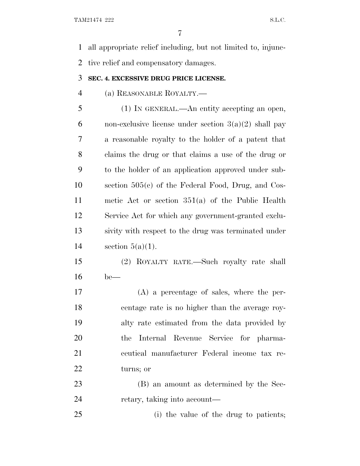all appropriate relief including, but not limited to, injunc-tive relief and compensatory damages.

### **SEC. 4. EXCESSIVE DRUG PRICE LICENSE.**

(a) REASONABLE ROYALTY.—

 (1) IN GENERAL.—An entity accepting an open, 6 non-exclusive license under section  $3(a)(2)$  shall pay a reasonable royalty to the holder of a patent that claims the drug or that claims a use of the drug or to the holder of an application approved under sub- section 505(c) of the Federal Food, Drug, and Cos- metic Act or section 351(a) of the Public Health Service Act for which any government-granted exclu- sivity with respect to the drug was terminated under 14 section  $5(a)(1)$ .

 (2) ROYALTY RATE.—Such royalty rate shall be—

 (A) a percentage of sales, where the per- centage rate is no higher than the average roy- alty rate estimated from the data provided by the Internal Revenue Service for pharma- ceutical manufacturer Federal income tax re-turns; or

 (B) an amount as determined by the Sec-retary, taking into account—

(i) the value of the drug to patients;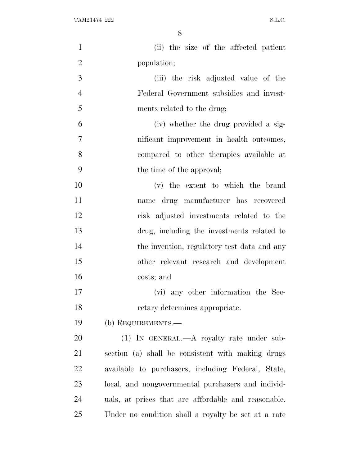| $\mathbf{1}$   | (ii) the size of the affected patient               |
|----------------|-----------------------------------------------------|
| $\overline{2}$ | population;                                         |
| 3              | (iii) the risk adjusted value of the                |
| $\overline{4}$ | Federal Government subsidies and invest-            |
| 5              | ments related to the drug;                          |
| 6              | (iv) whether the drug provided a sig-               |
| 7              | nificant improvement in health outcomes,            |
| 8              | compared to other therapies available at            |
| 9              | the time of the approval;                           |
| 10             | (v) the extent to which the brand                   |
| 11             | name drug manufacturer has recovered                |
| 12             | risk adjusted investments related to the            |
| 13             | drug, including the investments related to          |
| 14             | the invention, regulatory test data and any         |
| 15             | other relevant research and development             |
| 16             | costs; and                                          |
| 17             | (vi) any other information the Sec-                 |
| 18             | retary determines appropriate.                      |
| 19             | (b) REQUIREMENTS.—                                  |
| 20             | $(1)$ IN GENERAL.—A royalty rate under sub-         |
| 21             | section (a) shall be consistent with making drugs   |
| 22             | available to purchasers, including Federal, State,  |
| 23             | local, and nongovernmental purchasers and individ-  |
| 24             | uals, at prices that are affordable and reasonable. |
| 25             | Under no condition shall a royalty be set at a rate |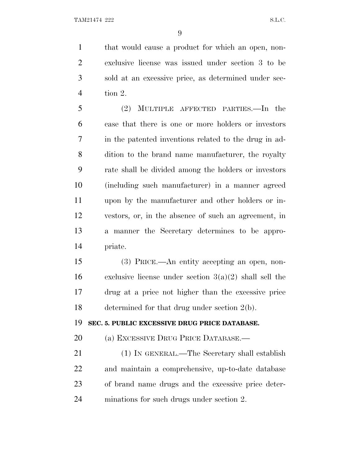that would cause a product for which an open, non- exclusive license was issued under section 3 to be sold at an excessive price, as determined under sec-tion 2.

 (2) MULTIPLE AFFECTED PARTIES.—In the case that there is one or more holders or investors in the patented inventions related to the drug in ad- dition to the brand name manufacturer, the royalty rate shall be divided among the holders or investors (including such manufacturer) in a manner agreed upon by the manufacturer and other holders or in- vestors, or, in the absence of such an agreement, in a manner the Secretary determines to be appro-priate.

 (3) PRICE.—An entity accepting an open, non-16 exclusive license under section  $3(a)(2)$  shall sell the drug at a price not higher than the excessive price determined for that drug under section 2(b).

**SEC. 5. PUBLIC EXCESSIVE DRUG PRICE DATABASE.**

(a) EXCESSIVE DRUG PRICE DATABASE.—

 (1) IN GENERAL.—The Secretary shall establish and maintain a comprehensive, up-to-date database of brand name drugs and the excessive price deter-minations for such drugs under section 2.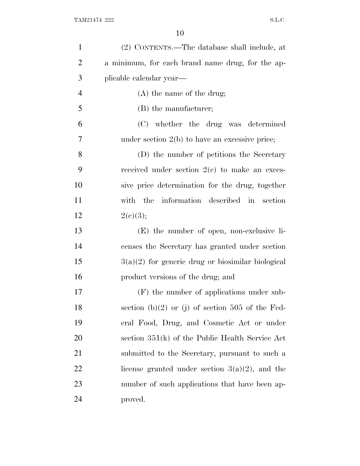| $\mathbf{1}$   | (2) CONTENTS.—The database shall include, at        |
|----------------|-----------------------------------------------------|
| $\overline{2}$ | a minimum, for each brand name drug, for the ap-    |
| 3              | plicable calendar year—                             |
| $\overline{4}$ | $(A)$ the name of the drug;                         |
| 5              | (B) the manufacturer;                               |
| 6              | (C) whether the drug was determined                 |
| 7              | under section $2(b)$ to have an excessive price;    |
| 8              | (D) the number of petitions the Secretary           |
| 9              | received under section $2(e)$ to make an exces-     |
| 10             | sive price determination for the drug, together     |
| 11             | the information described in section<br>with        |
| 12             | 2(c)(3);                                            |
| 13             | $(E)$ the number of open, non-exclusive li-         |
| 14             | censes the Secretary has granted under section      |
| 15             | $3(a)(2)$ for generic drug or biosimilar biological |
| 16             | product versions of the drug; and                   |
| 17             | $(F)$ the number of applications under sub-         |
| 18             | section (b) $(2)$ or (j) of section 505 of the Fed- |
| 19             | eral Food, Drug, and Cosmetic Act or under          |
| 20             | section $351(k)$ of the Public Health Service Act   |
| 21             | submitted to the Secretary, pursuant to such a      |
| 22             | license granted under section $3(a)(2)$ , and the   |
| 23             | number of such applications that have been ap-      |
| 24             | proved.                                             |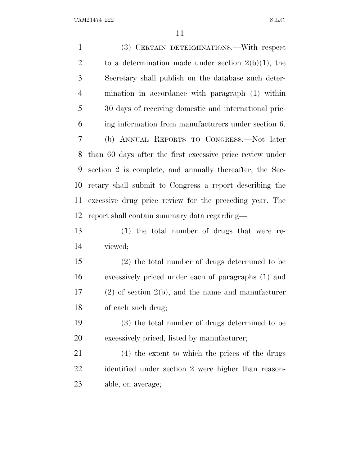(3) CERTAIN DETERMINATIONS.—With respect 2 to a determination made under section  $2(b)(1)$ , the Secretary shall publish on the database such deter- mination in accordance with paragraph (1) within 30 days of receiving domestic and international pric- ing information from manufacturers under section 6. (b) ANNUAL REPORTS TO CONGRESS.—Not later than 60 days after the first excessive price review under section 2 is complete, and annually thereafter, the Sec- retary shall submit to Congress a report describing the excessive drug price review for the preceding year. The report shall contain summary data regarding— (1) the total number of drugs that were re- viewed; (2) the total number of drugs determined to be excessively priced under each of paragraphs (1) and (2) of section 2(b), and the name and manufacturer of each such drug; (3) the total number of drugs determined to be excessively priced, listed by manufacturer; (4) the extent to which the prices of the drugs identified under section 2 were higher than reason-able, on average;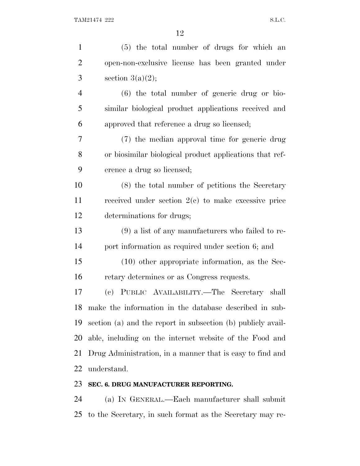| $\mathbf{1}$   | (5) the total number of drugs for which an                   |
|----------------|--------------------------------------------------------------|
| $\overline{2}$ | open-non-exclusive license has been granted under            |
| 3              | section $3(a)(2)$ ;                                          |
| $\overline{4}$ | $(6)$ the total number of generic drug or bio-               |
| 5              | similar biological product applications received and         |
| 6              | approved that reference a drug so licensed;                  |
| 7              | (7) the median approval time for generic drug                |
| 8              | or biosimilar biological product applications that ref-      |
| 9              | erence a drug so licensed;                                   |
| 10             | (8) the total number of petitions the Secretary              |
| 11             | received under section $2(e)$ to make excessive price        |
| 12             | determinations for drugs;                                    |
| 13             | $(9)$ a list of any manufacturers who failed to re-          |
| 14             | port information as required under section 6; and            |
| 15             | $(10)$ other appropriate information, as the Sec-            |
| 16             | retary determines or as Congress requests.                   |
| 17             | (c) PUBLIC AVAILABILITY.—The Secretary shall                 |
| 18             | make the information in the database described in sub-       |
| 19             | section (a) and the report in subsection (b) publicly avail- |
| 20             | able, including on the internet website of the Food and      |
| 21             | Drug Administration, in a manner that is easy to find and    |
| 22             | understand.                                                  |
| 23             | SEC. 6. DRUG MANUFACTURER REPORTING.                         |

 (a) I<sup>N</sup> GENERAL.—Each manufacturer shall submit to the Secretary, in such format as the Secretary may re-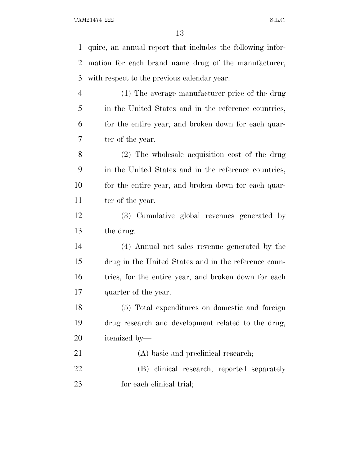TAM21474 222 S.L.C.

 quire, an annual report that includes the following infor- mation for each brand name drug of the manufacturer, with respect to the previous calendar year: (1) The average manufacturer price of the drug in the United States and in the reference countries, for the entire year, and broken down for each quar- ter of the year. (2) The wholesale acquisition cost of the drug in the United States and in the reference countries, for the entire year, and broken down for each quar-11 ter of the year. (3) Cumulative global revenues generated by the drug. (4) Annual net sales revenue generated by the drug in the United States and in the reference coun-16 tries, for the entire year, and broken down for each quarter of the year. (5) Total expenditures on domestic and foreign drug research and development related to the drug, itemized by— 21 (A) basic and preclinical research; (B) clinical research, reported separately for each clinical trial;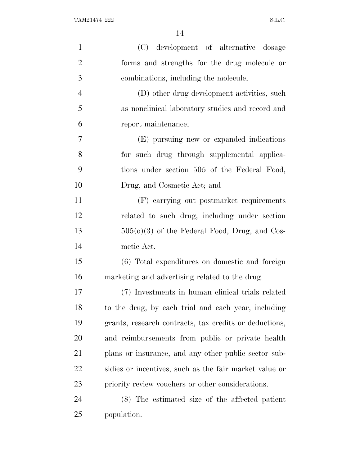| $\mathbf{1}$   | (C) development of alternative dosage                  |
|----------------|--------------------------------------------------------|
| $\overline{2}$ | forms and strengths for the drug molecule or           |
| 3              | combinations, including the molecule;                  |
| $\overline{4}$ | (D) other drug development activities, such            |
| 5              | as nonclinical laboratory studies and record and       |
| 6              | report maintenance;                                    |
| 7              | (E) pursuing new or expanded indications               |
| 8              | for such drug through supplemental applica-            |
| 9              | tions under section 505 of the Federal Food,           |
| 10             | Drug, and Cosmetic Act; and                            |
| 11             | (F) carrying out postmarket requirements               |
| 12             | related to such drug, including under section          |
| 13             | $505(0)(3)$ of the Federal Food, Drug, and Cos-        |
| 14             | metic Act.                                             |
| 15             | (6) Total expenditures on domestic and foreign         |
| 16             | marketing and advertising related to the drug.         |
| 17             | (7) Investments in human clinical trials related       |
| 18             | to the drug, by each trial and each year, including    |
| 19             | grants, research contracts, tax credits or deductions, |
| 20             | and reimbursements from public or private health       |
| 21             | plans or insurance, and any other public sector sub-   |
| 22             | sidies or incentives, such as the fair market value or |
| 23             | priority review vouchers or other considerations.      |
| 24             | (8) The estimated size of the affected patient         |
| 25             | population.                                            |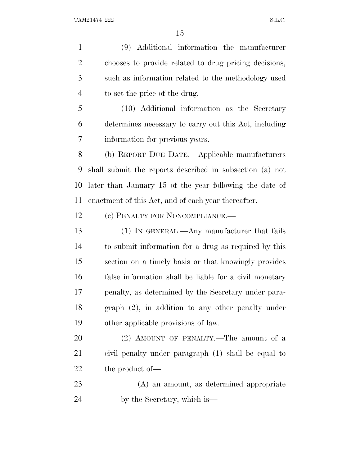(9) Additional information the manufacturer chooses to provide related to drug pricing decisions, such as information related to the methodology used to set the price of the drug. (10) Additional information as the Secretary determines necessary to carry out this Act, including information for previous years. (b) REPORT DUE DATE.—Applicable manufacturers shall submit the reports described in subsection (a) not

 later than January 15 of the year following the date of enactment of this Act, and of each year thereafter.

12 (c) PENALTY FOR NONCOMPLIANCE.—

 (1) IN GENERAL.—Any manufacturer that fails to submit information for a drug as required by this section on a timely basis or that knowingly provides false information shall be liable for a civil monetary penalty, as determined by the Secretary under para- graph (2), in addition to any other penalty under other applicable provisions of law.

20 (2) AMOUNT OF PENALTY.—The amount of a civil penalty under paragraph (1) shall be equal to 22 the product of —

 (A) an amount, as determined appropriate by the Secretary, which is—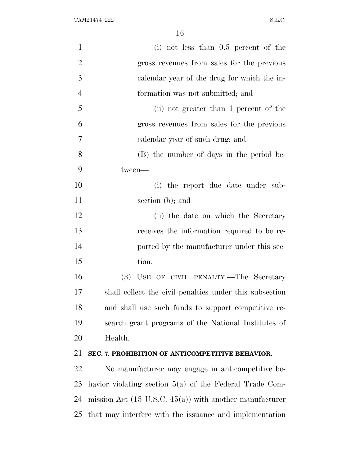| $\mathbf{1}$   | (i) not less than $0.5$ percent of the                             |
|----------------|--------------------------------------------------------------------|
| $\overline{2}$ | gross revenues from sales for the previous                         |
| 3              | calendar year of the drug for which the in-                        |
| $\overline{4}$ | formation was not submitted; and                                   |
| 5              | (ii) not greater than 1 percent of the                             |
| 6              | gross revenues from sales for the previous                         |
| 7              | calendar year of such drug; and                                    |
| 8              | (B) the number of days in the period be-                           |
| 9              | tween-                                                             |
| 10             | (i) the report due date under sub-                                 |
| 11             | section (b); and                                                   |
| 12             | (ii) the date on which the Secretary                               |
| 13             | receives the information required to be re-                        |
| 14             | ported by the manufacturer under this sec-                         |
| 15             | tion.                                                              |
| 16             | (3) USE OF CIVIL PENALTY.—The Secretary                            |
| 17             | shall collect the civil penalties under this subsection            |
| 18             | and shall use such funds to support competitive re-                |
| 19             | search grant programs of the National Institutes of                |
| 20             | Health.                                                            |
| 21             | SEC. 7. PROHIBITION OF ANTICOMPETITIVE BEHAVIOR.                   |
| 22             | No manufacturer may engage in anticompetitive be-                  |
| 23             | havior violating section $5(a)$ of the Federal Trade Com-          |
| 24             | mission Act $(15 \text{ U.S.C. } 45(a))$ with another manufacturer |
| 25             | that may interfere with the issuance and implementation            |
|                |                                                                    |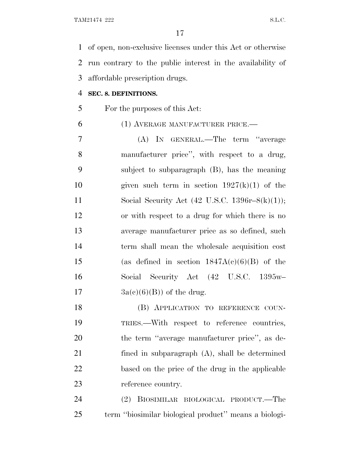of open, non-exclusive licenses under this Act or otherwise run contrary to the public interest in the availability of affordable prescription drugs.

#### **SEC. 8. DEFINITIONS.**

For the purposes of this Act:

#### (1) AVERAGE MANUFACTURER PRICE.—

 (A) IN GENERAL.—The term ''average manufacturer price'', with respect to a drug, subject to subparagraph (B), has the meaning 10 given such term in section  $1927(k)(1)$  of the 11 Social Security Act (42 U.S.C. 1396r–8(k)(1)); or with respect to a drug for which there is no average manufacturer price as so defined, such term shall mean the wholesale acquisition cost 15 (as defined in section  $1847A(c)(6)(B)$  of the Social Security Act (42 U.S.C. 1395w–  $3a(c)(6)(B)$  of the drug.

18 (B) APPLICATION TO REFERENCE COUN- TRIES.—With respect to reference countries, the term ''average manufacturer price'', as de- fined in subparagraph (A), shall be determined based on the price of the drug in the applicable reference country.

 (2) BIOSIMILAR BIOLOGICAL PRODUCT.—The term ''biosimilar biological product'' means a biologi-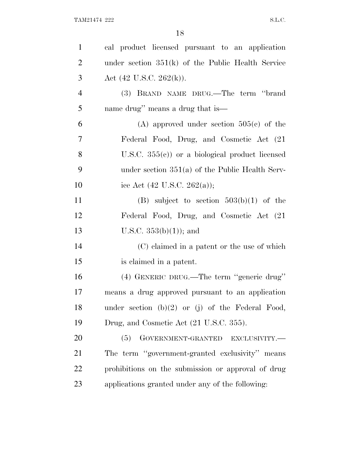| $\mathbf{1}$   | cal product licensed pursuant to an application     |
|----------------|-----------------------------------------------------|
| $\overline{2}$ | under section $351(k)$ of the Public Health Service |
| 3              | Act $(42 \text{ U.S.C. } 262(\text{k}))$ .          |
| $\overline{4}$ | (3) BRAND NAME DRUG.—The term "brand                |
| 5              | name drug" means a drug that is—                    |
| 6              | (A) approved under section $505(c)$ of the          |
| 7              | Federal Food, Drug, and Cosmetic Act (21)           |
| 8              | U.S.C. $355(e)$ or a biological product licensed    |
| 9              | under section $351(a)$ of the Public Health Serv-   |
| 10             | ice Act $(42 \text{ U.S.C. } 262(a));$              |
| 11             | (B) subject to section $503(b)(1)$ of the           |
| 12             | Federal Food, Drug, and Cosmetic Act (21)           |
| 13             | U.S.C. $353(b)(1)$ ; and                            |
| 14             | (C) claimed in a patent or the use of which         |
| 15             | is claimed in a patent.                             |
| 16             | (4) GENERIC DRUG.—The term "generic drug"           |
| 17             | means a drug approved pursuant to an application    |
| 18             | under section $(b)(2)$ or (j) of the Federal Food,  |
| 19             | Drug, and Cosmetic Act (21 U.S.C. 355).             |
| 20             | GOVERNMENT-GRANTED EXCLUSIVITY.-<br>(5)             |
| 21             | The term "government-granted exclusivity" means     |
| 22             | prohibitions on the submission or approval of drug  |
| 23             | applications granted under any of the following:    |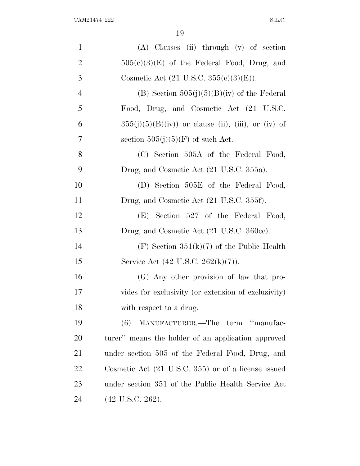| $\mathbf{1}$   | $(A)$ Clauses (ii) through $(v)$ of section                    |
|----------------|----------------------------------------------------------------|
| $\overline{2}$ | $505(c)(3)(E)$ of the Federal Food, Drug, and                  |
| 3              | Cosmetic Act $(21 \text{ U.S.C. } 355(e)(3)(E)).$              |
| $\overline{4}$ | (B) Section $505(j)(5)(B)(iv)$ of the Federal                  |
| 5              | Food, Drug, and Cosmetic Act (21 U.S.C.                        |
| 6              | $355(j)(5)(B)(iv)$ or clause (ii), (iii), or (iv) of           |
| 7              | section $505(j)(5)(F)$ of such Act.                            |
| 8              | (C) Section 505A of the Federal Food,                          |
| 9              | Drug, and Cosmetic Act (21 U.S.C. 355a).                       |
| 10             | (D) Section 505E of the Federal Food,                          |
| 11             | Drug, and Cosmetic Act (21 U.S.C. 355f).                       |
| 12             | (E) Section 527 of the Federal Food,                           |
| 13             | Drug, and Cosmetic Act (21 U.S.C. 360cc).                      |
| 14             | $(F)$ Section 351(k)(7) of the Public Health                   |
| 15             | Service Act (42 U.S.C. 262(k)(7)).                             |
| 16             | (G) Any other provision of law that pro-                       |
| 17             | vides for exclusivity (or extension of exclusivity)            |
| 18             | with respect to a drug.                                        |
| 19             | MANUFACTURER.—The term "manufac-<br>(6)                        |
| 20             | turer" means the holder of an application approved             |
| 21             | under section 505 of the Federal Food, Drug, and               |
| <u>22</u>      | Cosmetic Act $(21 \text{ U.S.C. } 355)$ or of a license issued |
| 23             | under section 351 of the Public Health Service Act             |
| 24             | $(42 \text{ U.S.C. } 262).$                                    |